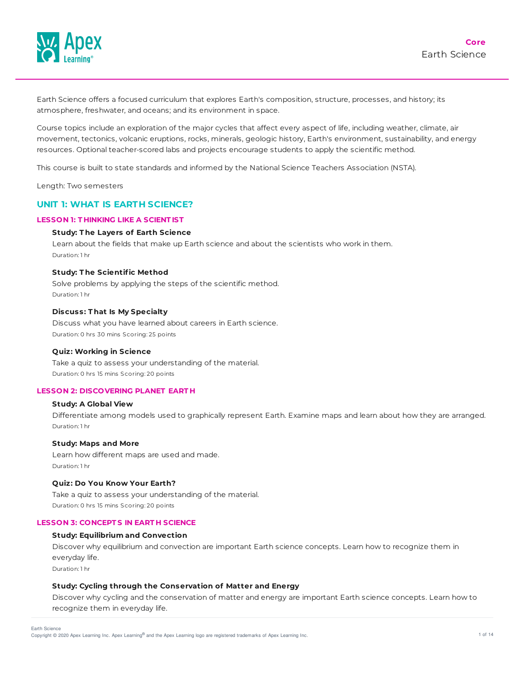

Earth Science offers a focused curriculum that explores Earth's composition, structure, processes, and history; its atmosphere, freshwater, and oceans; and its environment in space.

Course topics include an exploration of the major cycles that affect every aspect of life, including weather, climate, air movement, tectonics, volcanic eruptions, rocks, minerals, geologic history, Earth's environment, sustainability, and energy resources. Optional teacher-scored labs and projects encourage students to apply the scientific method.

This course is built to state standards and informed by the National Science Teachers Association (NSTA).

Length: Two semesters

# **UNIT 1: WHAT IS EARTH SCIENCE?**

### **LESSON 1: T HINKING LIKE A SCIENT IST**

### **Study: T he Layers of Earth Science**

Learn about the fields that make up Earth science and about the scientists who work in them. Duration: 1 hr

### **Study: T he Scientific Method**

Solve problems by applying the steps of the scientific method. Duration: 1 hr

### **Discuss: T hat Is My Specialty**

Discuss what you have learned about careers in Earth science. Duration: 0 hrs 30 mins Scoring: 25 points

#### **Quiz: Working in Science**

Take a quiz to assess your understanding of the material. Duration: 0 hrs 15 mins Scoring: 20 points

#### **LESSON 2: DISCOVERING PLANET EART H**

#### **Study: A Global View**

Differentiate among models used to graphically represent Earth. Examine maps and learn about how they are arranged. Duration: 1 hr

#### **Study: Maps and More**

Learn how different maps are used and made. Duration: 1 hr

### **Quiz: Do You Know Your Earth?**

Take a quiz to assess your understanding of the material. Duration: 0 hrs 15 mins Scoring: 20 points

#### **LESSON 3: CONCEPT S IN EART H SCIENCE**

## **Study: Equilibrium and Convection**

Discover why equilibrium and convection are important Earth science concepts. Learn how to recognize them in everyday life.

Duration: 1 hr

#### **Study: Cycling through the Conservation of Matter and Energy**

Discover why cycling and the conservation of matter and energy are important Earth science concepts. Learn how to recognize them in everyday life.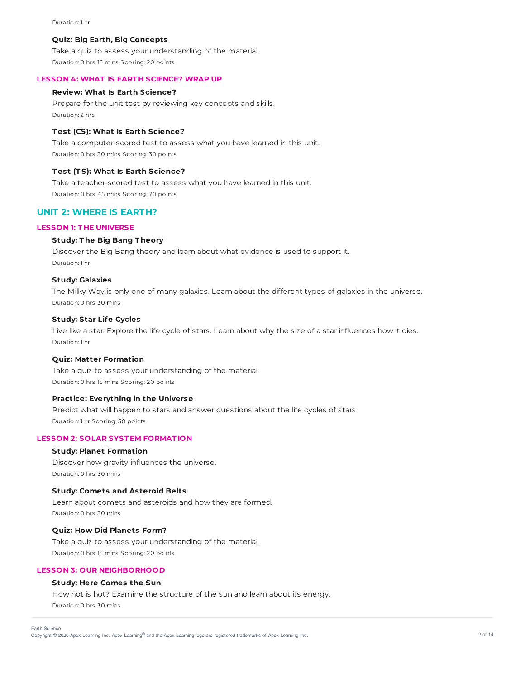#### Duration: 1 hr

### **Quiz: Big Earth, Big Concepts**

Take a quiz to assess your understanding of the material. Duration: 0 hrs 15 mins Scoring: 20 points

### **LESSON 4: WHAT IS EART H SCIENCE? WRAP UP**

### **Review: What Is Earth Science?**

Prepare for the unit test by reviewing key concepts and skills. Duration: 2 hrs

### **T est (CS): What Is Earth Science?**

Take a computer-scored test to assess what you have learned in this unit. Duration: 0 hrs 30 mins Scoring: 30 points

#### **T est (T S): What Is Earth Science?**

Take a teacher-scored test to assess what you have learned in this unit. Duration: 0 hrs 45 mins Scoring: 70 points

## **UNIT 2: WHERE IS EARTH?**

## **LESSON 1: T HE UNIVERSE**

## **Study: T he Big Bang T heory**

Discover the Big Bang theory and learn about what evidence is used to support it. Duration: 1 hr

#### **Study: Galaxies**

The Milky Way is only one of many galaxies. Learn about the different types of galaxies in the universe. Duration: 0 hrs 30 mins

#### **Study: Star Life Cycles**

Live like a star. Explore the life cycle of stars. Learn about why the size of a star influences how it dies. Duration: 1 hr

#### **Quiz: Matter Formation**

Take a quiz to assess your understanding of the material. Duration: 0 hrs 15 mins Scoring: 20 points

### **Practice: Everything in the Universe**

Predict what will happen to stars and answer questions about the life cycles of stars. Duration: 1 hr Scoring: 50 points

### **LESSON 2: SOLAR SYST EM FORMAT ION**

### **Study: Planet Formation**

Discover how gravity influences the universe. Duration: 0 hrs 30 mins

### **Study: Comets and Asteroid Belts**

Learn about comets and asteroids and how they are formed. Duration: 0 hrs 30 mins

#### **Quiz: How Did Planets Form?**

Take a quiz to assess your understanding of the material. Duration: 0 hrs 15 mins Scoring: 20 points

### **LESSON 3: OUR NEIGHBORHOOD**

### **Study: Here Comes the Sun**

How hot is hot? Examine the structure of the sun and learn about its energy. Duration: 0 hrs 30 mins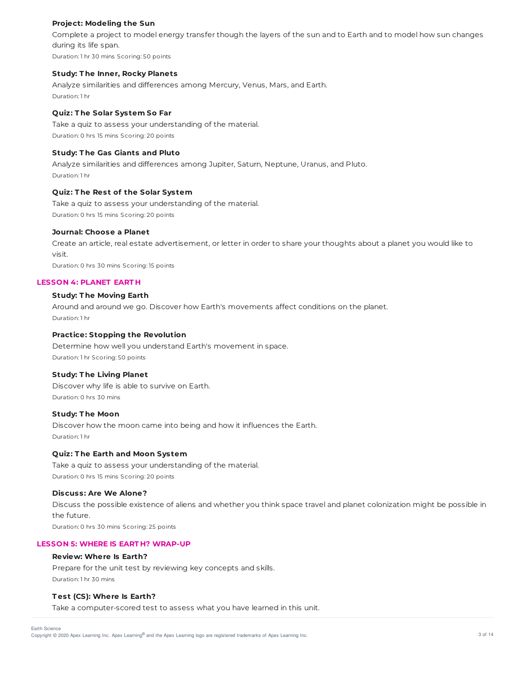## **Project: Modeling the Sun**

Complete a project to model energy transfer though the layers of the sun and to Earth and to model how sun changes during its life span. Duration: 1 hr 30 mins Scoring: 50 points

### **Study: T he Inner, Rocky Planets**

Analyze similarities and differences among Mercury, Venus, Mars, and Earth. Duration: 1 hr

## **Quiz: T he Solar System So Far**

Take a quiz to assess your understanding of the material. Duration: 0 hrs 15 mins Scoring: 20 points

### **Study: T he Gas Giants and Pluto**

Analyze similarities and differences among Jupiter, Saturn, Neptune, Uranus, and Pluto. Duration: 1 hr

## **Quiz: T he Rest of the Solar System**

Take a quiz to assess your understanding of the material. Duration: 0 hrs 15 mins Scoring: 20 points

#### **Journal: Choose a Planet**

Create an article, real estate advertisement, or letter in order to share your thoughts about a planet you would like to visit.

Duration: 0 hrs 30 mins Scoring: 15 points

### **LESSON 4: PLANET EART H**

### **Study: T he Moving Earth**

Around and around we go. Discover how Earth's movements affect conditions on the planet. Duration: 1 hr

### **Practice: Stopping the Revolution**

Determine how well you understand Earth's movement in space. Duration: 1 hr Scoring: 50 points

## **Study: T he Living Planet**

Discover why life is able to survive on Earth. Duration: 0 hrs 30 mins

#### **Study: T he Moon**

Discover how the moon came into being and how it influences the Earth. Duration: 1 hr

## **Quiz: T he Earth and Moon System**

Take a quiz to assess your understanding of the material. Duration: 0 hrs 15 mins Scoring: 20 points

#### **Discuss: Are We Alone?**

Discuss the possible existence of aliens and whether you think space travel and planet colonization might be possible in the future.

Duration: 0 hrs 30 mins Scoring: 25 points

## **LESSON 5: WHERE IS EART H? WRAP-UP**

#### **Review: Where Is Earth?**

Prepare for the unit test by reviewing key concepts and skills. Duration: 1 hr 30 mins

## **T est (CS): Where Is Earth?**

Take a computer-scored test to assess what you have learned in this unit.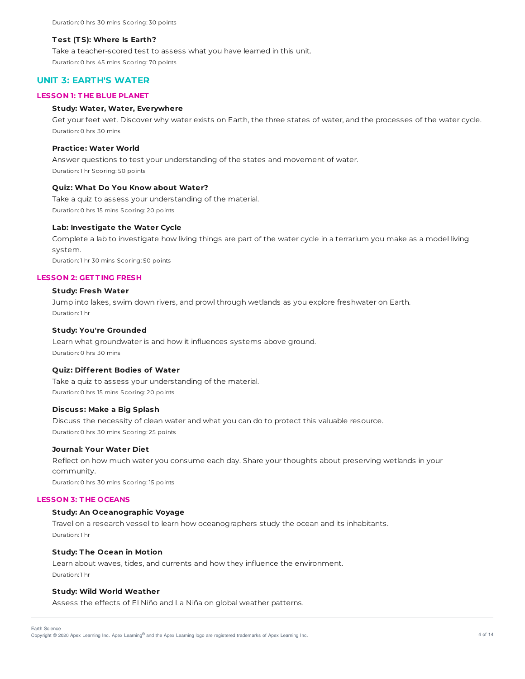#### **T est (T S): Where Is Earth?**

Take a teacher-scored test to assess what you have learned in this unit. Duration: 0 hrs 45 mins Scoring: 70 points

# **UNIT 3: EARTH'S WATER**

### **LESSON 1: T HE BLUE PLANET**

## **Study: Water, Water, Everywhere**

Get your feet wet. Discover why water exists on Earth, the three states of water, and the processes of the water cycle. Duration: 0 hrs 30 mins

#### **Practice: Water World**

Answer questions to test your understanding of the states and movement of water. Duration: 1 hr Scoring: 50 points

## **Quiz: What Do You Know about Water?**

Take a quiz to assess your understanding of the material. Duration: 0 hrs 15 mins Scoring: 20 points

#### **Lab: Investigate the Water Cycle**

Complete a lab to investigate how living things are part of the water cycle in a terrarium you make as a model living system.

Duration: 1 hr 30 mins Scoring: 50 points

### **LESSON 2: GET T ING FRESH**

#### **Study: Fresh Water**

Jump into lakes, swim down rivers, and prowl through wetlands as you explore freshwater on Earth. Duration: 1 hr

### **Study: You're Grounded**

Learn what groundwater is and how it influences systems above ground. Duration: 0 hrs 30 mins

#### **Quiz: Different Bodies of Water**

Take a quiz to assess your understanding of the material. Duration: 0 hrs 15 mins Scoring: 20 points

### **Discuss: Make a Big Splash**

Discuss the necessity of clean water and what you can do to protect this valuable resource. Duration: 0 hrs 30 mins Scoring: 25 points

#### **Journal: Your Water Diet**

Reflect on how much water you consume each day. Share your thoughts about preserving wetlands in your community.

Duration: 0 hrs 30 mins Scoring: 15 points

#### **LESSON 3: T HE OCEANS**

### **Study: An Oceanographic Voyage**

Travel on a research vessel to learn how oceanographers study the ocean and its inhabitants. Duration: 1 hr

#### **Study: T he Ocean in Motion**

Learn about waves, tides, and currents and how they influence the environment. Duration: 1 hr

#### **Study: Wild World Weather**

Assess the effects of El Niño and La Niña on global weather patterns.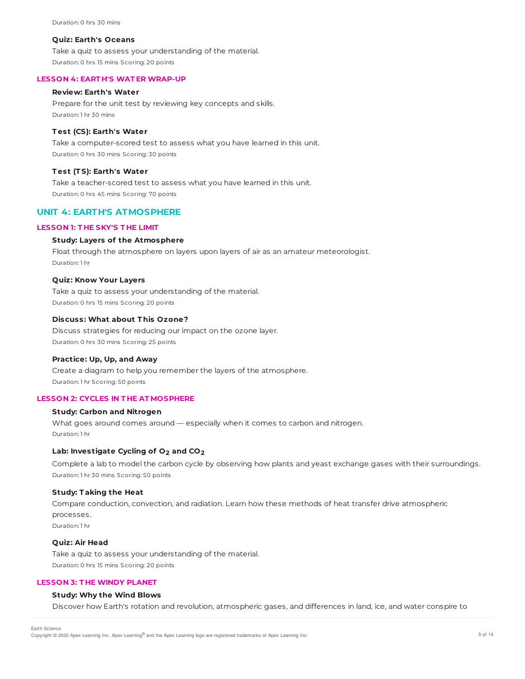#### **Quiz: Earth's Oceans**

Take a quiz to assess your understanding of the material. Duration: 0 hrs 15 mins Scoring: 20 points

#### **LESSON 4: EART H'S WAT ER WRAP-UP**

### **Review: Earth's Water**

Prepare for the unit test by reviewing key concepts and skills. Duration: 1 hr 30 mins

#### **T est (CS): Earth's Water**

Take a computer-scored test to assess what you have learned in this unit. Duration: 0 hrs 30 mins Scoring: 30 points

#### **T est (T S): Earth's Water**

Take a teacher-scored test to assess what you have learned in this unit. Duration: 0 hrs 45 mins Scoring: 70 points

# **UNIT 4: EARTH'S ATMOSPHERE**

## **LESSON 1: T HE SKY'S T HE LIMIT**

### **Study: Layers of the Atmosphere**

Float through the atmosphere on layers upon layers of air as an amateur meteorologist. Duration: 1 hr

#### **Quiz: Know Your Layers**

Take a quiz to assess your understanding of the material. Duration: 0 hrs 15 mins Scoring: 20 points

### **Discuss: What about T his Ozone?**

Discuss strategies for reducing our impact on the ozone layer. Duration: 0 hrs 30 mins Scoring: 25 points

#### **Practice: Up, Up, and Away**

Create a diagram to help you remember the layers of the atmosphere. Duration: 1 hr Scoring: 50 points

## **LESSON 2: CYCLES IN T HE AT MOSPHERE**

### **Study: Carbon and Nitrogen**

What goes around comes around — especially when it comes to carbon and nitrogen. Duration: 1 hr

## **Lab: Investigate Cycling of O2 and CO2**

Complete a lab to model the carbon cycle by observing how plants and yeast exchange gases with their surroundings. Duration: 1 hr 30 mins Scoring: 50 points

#### **Study: T aking the Heat**

Compare conduction, convection, and radiation. Learn how these methods of heat transfer drive atmospheric processes. Duration: 1 hr

#### **Quiz: Air Head**

Take a quiz to assess your understanding of the material. Duration: 0 hrs 15 mins Scoring: 20 points

## **LESSON 3: T HE WINDY PLANET**

### **Study: Why the Wind Blows**

Discover how Earth's rotation and revolution, atmospheric gases, and differences in land, ice, and water conspire to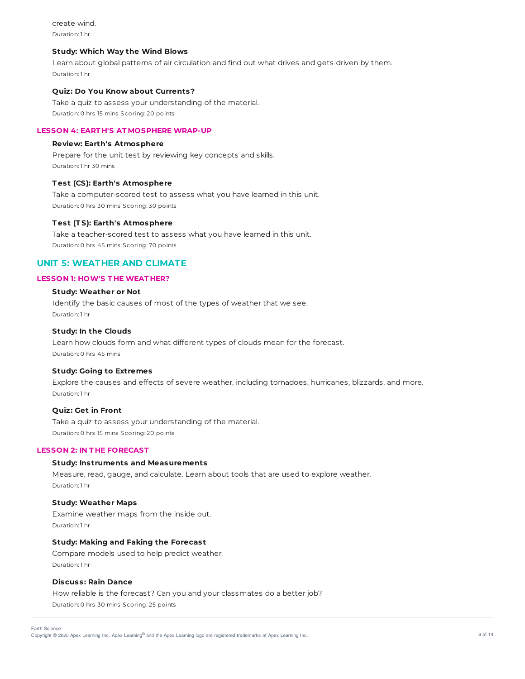create wind. Duration: 1 hr

### **Study: Which Way the Wind Blows**

Learn about global patterns of air circulation and find out what drives and gets driven by them. Duration: 1 hr

#### **Quiz: Do You Know about Currents?**

Take a quiz to assess your understanding of the material. Duration: 0 hrs 15 mins Scoring: 20 points

## **LESSON 4: EART H'S AT MOSPHERE WRAP-UP**

### **Review: Earth's Atmosphere**

Prepare for the unit test by reviewing key concepts and skills. Duration: 1 hr 30 mins

### **T est (CS): Earth's Atmosphere**

Take a computer-scored test to assess what you have learned in this unit. Duration: 0 hrs 30 mins Scoring: 30 points

#### **T est (T S): Earth's Atmosphere**

Take a teacher-scored test to assess what you have learned in this unit. Duration: 0 hrs 45 mins Scoring: 70 points

# **UNIT 5: WEATHER AND CLIMATE**

# **LESSON 1: HOW'S T HE WEAT HER?**

## **Study: Weather or Not**

Identify the basic causes of most of the types of weather that we see. Duration: 1 hr

### **Study: In the Clouds**

Learn how clouds form and what different types of clouds mean for the forecast. Duration: 0 hrs 45 mins

#### **Study: Going to Extremes**

Explore the causes and effects of severe weather, including tornadoes, hurricanes, blizzards, and more. Duration: 1 hr

## **Quiz: Get in Front**

Take a quiz to assess your understanding of the material. Duration: 0 hrs 15 mins Scoring: 20 points

### **LESSON 2: IN T HE FORECAST**

### **Study: Instruments and Measurements**

Measure, read, gauge, and calculate. Learn about tools that are used to explore weather. Duration: 1 hr

#### **Study: Weather Maps**

Examine weather maps from the inside out. Duration: 1 hr

## **Study: Making and Faking the Forecast**

Compare models used to help predict weather. Duration: 1 hr

#### **Discuss: Rain Dance**

How reliable is the forecast? Can you and your classmates do a better job? Duration: 0 hrs 30 mins Scoring: 25 points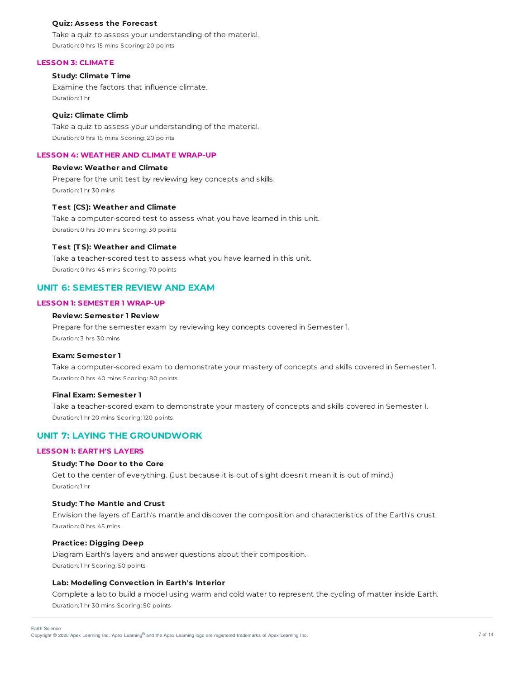#### **Quiz: Assess the Forecast**

Take a quiz to assess your understanding of the material. Duration: 0 hrs 15 mins Scoring: 20 points

#### **LESSON 3: CLIMAT E**

## **Study: Climate T ime**

Examine the factors that influence climate. Duration: 1 hr

#### **Quiz: Climate Climb**

Take a quiz to assess your understanding of the material. Duration: 0 hrs 15 mins Scoring: 20 points

## **LESSON 4: WEAT HER AND CLIMAT E WRAP-UP**

### **Review: Weather and Climate**

Prepare for the unit test by reviewing key concepts and skills. Duration: 1 hr 30 mins

#### **T est (CS): Weather and Climate**

Take a computer-scored test to assess what you have learned in this unit. Duration: 0 hrs 30 mins Scoring: 30 points

#### **T est (T S): Weather and Climate**

Take a teacher-scored test to assess what you have learned in this unit. Duration: 0 hrs 45 mins Scoring: 70 points

## **UNIT 6: SEMESTER REVIEW AND EXAM**

### **LESSON 1: SEMEST ER 1 WRAP-UP**

## **Review: Semester 1 Review**

Prepare for the semester exam by reviewing key concepts covered in Semester 1. Duration: 3 hrs 30 mins

### **Exam: Semester 1**

Take a computer-scored exam to demonstrate your mastery of concepts and skills covered in Semester 1. Duration: 0 hrs 40 mins Scoring: 80 points

#### **Final Exam: Semester 1**

Take a teacher-scored exam to demonstrate your mastery of concepts and skills covered in Semester 1. Duration: 1 hr 20 mins Scoring: 120 points

# **UNIT 7: LAYING THE GROUNDWORK**

#### **LESSON 1: EART H'S LAYERS**

### **Study: T he Door to the Core**

Get to the center of everything. (Just because it is out of sight doesn't mean it is out of mind.) Duration: 1 hr

#### **Study: T he Mantle and Crust**

Envision the layers of Earth's mantle and discover the composition and characteristics of the Earth's crust. Duration: 0 hrs 45 mins

### **Practice: Digging Deep**

Diagram Earth's layers and answer questions about their composition. Duration: 1 hr Scoring: 50 points

### **Lab: Modeling Convection in Earth's Interior**

Complete a lab to build a model using warm and cold water to represent the cycling of matter inside Earth. Duration: 1 hr 30 mins Scoring: 50 points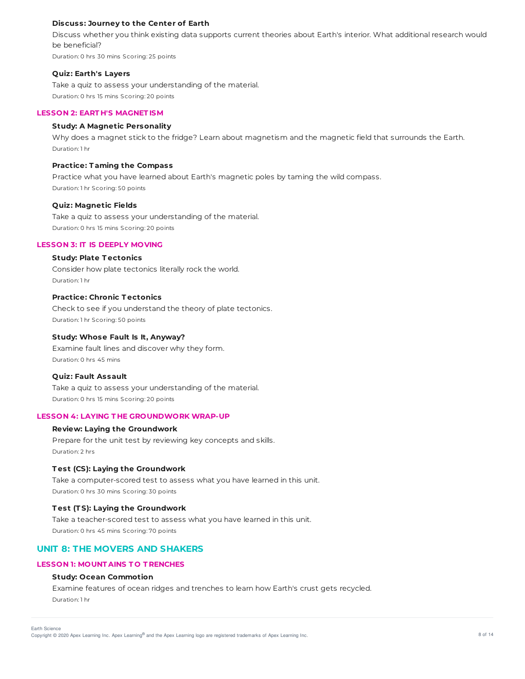### **Discuss: Journey to the Center of Earth**

Discuss whether you think existing data supports current theories about Earth's interior. What additional research would be beneficial?

Duration: 0 hrs 30 mins Scoring: 25 points

#### **Quiz: Earth's Layers**

Take a quiz to assess your understanding of the material. Duration: 0 hrs 15 mins Scoring: 20 points

## **LESSON 2: EART H'S MAGNET ISM**

## **Study: A Magnetic Personality**

Why does a magnet stick to the fridge? Learn about magnetism and the magnetic field that surrounds the Earth. Duration: 1 hr

### **Practice: T aming the Compass**

Practice what you have learned about Earth's magnetic poles by taming the wild compass. Duration: 1 hr Scoring: 50 points

#### **Quiz: Magnetic Fields**

Take a quiz to assess your understanding of the material. Duration: 0 hrs 15 mins Scoring: 20 points

## **LESSON 3: IT IS DEEPLY MOVING**

#### **Study: Plate T ectonics**

Consider how plate tectonics literally rock the world. Duration: 1 hr

## **Practice: Chronic T ectonics**

Check to see if you understand the theory of plate tectonics. Duration: 1 hr Scoring: 50 points

#### **Study: Whose Fault Is It, Anyway?**

Examine fault lines and discover why they form. Duration: 0 hrs 45 mins

#### **Quiz: Fault Assault**

Take a quiz to assess your understanding of the material. Duration: 0 hrs 15 mins Scoring: 20 points

## **LESSON 4: LAYING T HE GROUNDWORK WRAP-UP**

## **Review: Laying the Groundwork**

Prepare for the unit test by reviewing key concepts and skills. Duration: 2 hrs

## **T est (CS): Laying the Groundwork**

Take a computer-scored test to assess what you have learned in this unit. Duration: 0 hrs 30 mins Scoring: 30 points

### **T est (T S): Laying the Groundwork**

Take a teacher-scored test to assess what you have learned in this unit. Duration: 0 hrs 45 mins Scoring: 70 points

# **UNIT 8: THE MOVERS AND SHAKERS**

### **LESSON 1: MOUNT AINS T O T RENCHES**

### **Study: Ocean Commotion**

Examine features of ocean ridges and trenches to learn how Earth's crust gets recycled. Duration: 1 hr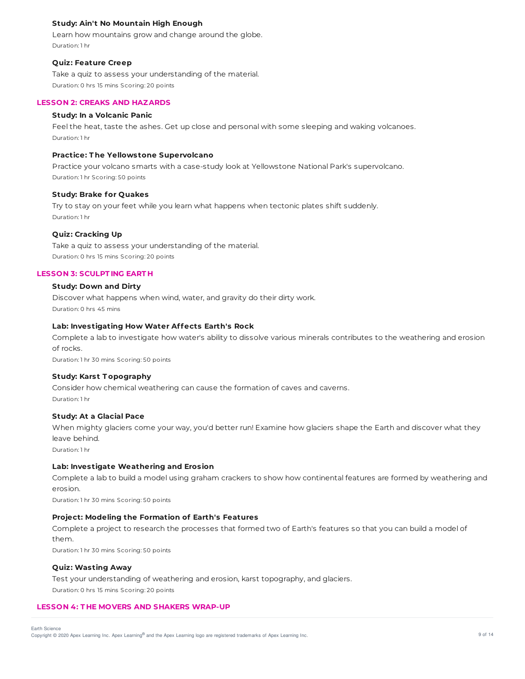## **Study: Ain't No Mountain High Enough**

Learn how mountains grow and change around the globe. Duration: 1 hr

#### **Quiz: Feature Creep**

Take a quiz to assess your understanding of the material. Duration: 0 hrs 15 mins Scoring: 20 points

#### **LESSON 2: CREAKS AND HAZARDS**

#### **Study: In a Volcanic Panic**

Feel the heat, taste the ashes. Get up close and personal with some sleeping and waking volcanoes. Duration: 1 hr

### **Practice: T he Yellowstone Supervolcano**

Practice your volcano smarts with a case-study look at Yellowstone National Park's supervolcano. Duration: 1 hr Scoring: 50 points

#### **Study: Brake for Quakes**

Try to stay on your feet while you learn what happens when tectonic plates shift suddenly. Duration: 1 hr

### **Quiz: Cracking Up**

Take a quiz to assess your understanding of the material. Duration: 0 hrs 15 mins Scoring: 20 points

### **LESSON 3: SCULPT ING EART H**

## **Study: Down and Dirty**

Discover what happens when wind, water, and gravity do their dirty work. Duration: 0 hrs 45 mins

### **Lab: Investigating How Water Affects Earth's Rock**

Complete a lab to investigate how water's ability to dissolve various minerals contributes to the weathering and erosion of rocks.

Duration: 1 hr 30 mins Scoring: 50 points

#### **Study: Karst T opography**

Consider how chemical weathering can cause the formation of caves and caverns. Duration: 1 hr

#### **Study: At a Glacial Pace**

When mighty glaciers come your way, you'd better run! Examine how glaciers shape the Earth and discover what they leave behind.

Duration: 1 hr

### **Lab: Investigate Weathering and Erosion**

Complete a lab to build a model using graham crackers to show how continental features are formed by weathering and erosion.

Duration: 1 hr 30 mins Scoring: 50 points

## **Project: Modeling the Formation of Earth's Features**

Complete a project to research the processes that formed two of Earth's features so that you can build a model of them. Duration: 1 hr 30 mins Scoring: 50 points

#### **Quiz: Wasting Away**

Test your understanding of weathering and erosion, karst topography, and glaciers. Duration: 0 hrs 15 mins Scoring: 20 points

### **LESSON 4: T HE MOVERS AND SHAKERS WRAP-UP**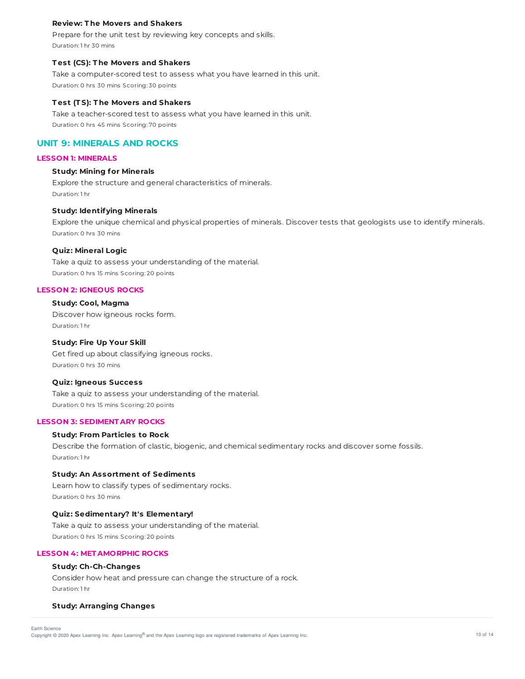### **Review: T he Movers and Shakers**

Prepare for the unit test by reviewing key concepts and skills. Duration: 1 hr 30 mins

### **T est (CS): T he Movers and Shakers**

Take a computer-scored test to assess what you have learned in this unit. Duration: 0 hrs 30 mins Scoring: 30 points

#### **T est (T S): T he Movers and Shakers**

Take a teacher-scored test to assess what you have learned in this unit. Duration: 0 hrs 45 mins Scoring: 70 points

## **UNIT 9: MINERALS AND ROCKS**

#### **LESSON 1: MINERALS**

#### **Study: Mining for Minerals**

Explore the structure and general characteristics of minerals. Duration: 1 hr

#### **Study: Identifying Minerals**

Explore the unique chemical and physical properties of minerals. Discover tests that geologists use to identify minerals. Duration: 0 hrs 30 mins

### **Quiz: Mineral Logic**

Take a quiz to assess your understanding of the material. Duration: 0 hrs 15 mins Scoring: 20 points

#### **LESSON 2: IGNEOUS ROCKS**

### **Study: Cool, Magma**

Discover how igneous rocks form. Duration: 1 hr

## **Study: Fire Up Your Skill**

Get fired up about classifying igneous rocks. Duration: 0 hrs 30 mins

#### **Quiz: Igneous Success**

Take a quiz to assess your understanding of the material. Duration: 0 hrs 15 mins Scoring: 20 points

### **LESSON 3: SEDIMENT ARY ROCKS**

#### **Study: From Particles to Rock**

Describe the formation of clastic, biogenic, and chemical sedimentary rocks and discover some fossils. Duration: 1 hr

#### **Study: An Assortment of Sediments**

Learn how to classify types of sedimentary rocks. Duration: 0 hrs 30 mins

### **Quiz: Sedimentary? It's Elementary!**

Take a quiz to assess your understanding of the material. Duration: 0 hrs 15 mins Scoring: 20 points

#### **LESSON 4: MET AMORPHIC ROCKS**

## **Study: Ch-Ch-Changes**

Consider how heat and pressure can change the structure of a rock. Duration: 1 hr

#### **Study: Arranging Changes**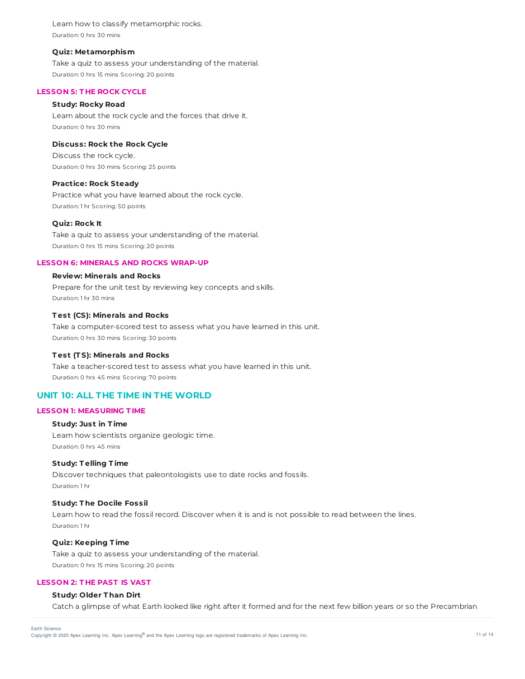Learn how to classify metamorphic rocks. Duration: 0 hrs 30 mins

#### **Quiz: Metamorphism**

Take a quiz to assess your understanding of the material. Duration: 0 hrs 15 mins Scoring: 20 points

### **LESSON 5: T HE ROCK CYCLE**

### **Study: Rocky Road**

Learn about the rock cycle and the forces that drive it. Duration: 0 hrs 30 mins

### **Discuss: Rock the Rock Cycle**

Discuss the rock cycle. Duration: 0 hrs 30 mins Scoring: 25 points

#### **Practice: Rock Steady**

Practice what you have learned about the rock cycle. Duration: 1 hr Scoring: 50 points

#### **Quiz: Rock It**

Take a quiz to assess your understanding of the material. Duration: 0 hrs 15 mins Scoring: 20 points

#### **LESSON 6: MINERALS AND ROCKS WRAP-UP**

### **Review: Minerals and Rocks**

Prepare for the unit test by reviewing key concepts and skills. Duration: 1 hr 30 mins

# **T est (CS): Minerals and Rocks**

Take a computer-scored test to assess what you have learned in this unit. Duration: 0 hrs 30 mins Scoring: 30 points

### **T est (T S): Minerals and Rocks**

Take a teacher-scored test to assess what you have learned in this unit. Duration: 0 hrs 45 mins Scoring: 70 points

# **UNIT 10: ALL THE TIME IN THE WORLD**

## **LESSON 1: MEASURING T IME**

### **Study: Just in T ime**

Learn how scientists organize geologic time. Duration: 0 hrs 45 mins

### **Study: T elling T ime**

Discover techniques that paleontologists use to date rocks and fossils. Duration: 1 hr

#### **Study: T he Docile Fossil**

Learn how to read the fossil record. Discover when it is and is not possible to read between the lines. Duration: 1 hr

## **Quiz: Keeping T ime**

Take a quiz to assess your understanding of the material. Duration: 0 hrs 15 mins Scoring: 20 points

# **LESSON 2: T HE PAST IS VAST**

## **Study: Older T han Dirt**

Catch a glimpse of what Earth looked like right after it formed and for the next few billion years or so the Precambrian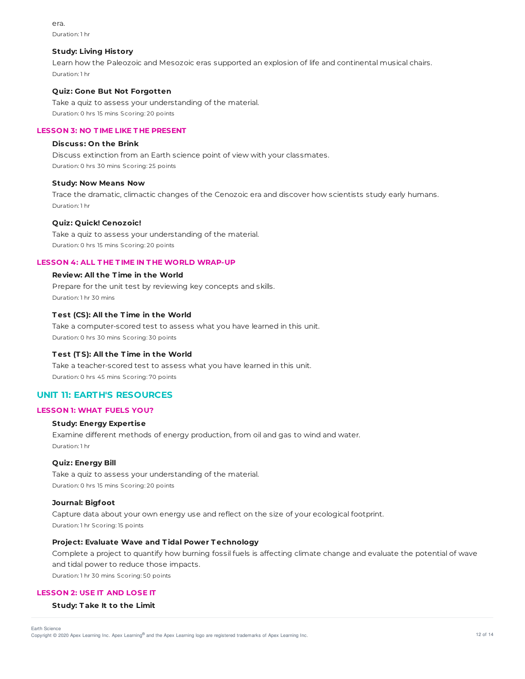era. Duration: 1 hr

#### **Study: Living History**

Learn how the Paleozoic and Mesozoic eras supported an explosion of life and continental musical chairs. Duration: 1 hr

#### **Quiz: Gone But Not Forgotten**

Take a quiz to assess your understanding of the material. Duration: 0 hrs 15 mins Scoring: 20 points

### **LESSON 3: NO T IME LIKE T HE PRESENT**

### **Discuss: On the Brink**

Discuss extinction from an Earth science point of view with your classmates. Duration: 0 hrs 30 mins Scoring: 25 points

#### **Study: Now Means Now**

Trace the dramatic, climactic changes of the Cenozoic era and discover how scientists study early humans. Duration: 1 hr

#### **Quiz: Quick! Cenozoic!**

Take a quiz to assess your understanding of the material. Duration: 0 hrs 15 mins Scoring: 20 points

#### **LESSON 4: ALL T HE T IME IN T HE WORLD WRAP-UP**

## **Review: All the T ime in the World**

Prepare for the unit test by reviewing key concepts and skills. Duration: 1 hr 30 mins

# **T est (CS): All the T ime in the World**

Take a computer-scored test to assess what you have learned in this unit. Duration: 0 hrs 30 mins Scoring: 30 points

### **T est (T S): All the T ime in the World**

Take a teacher-scored test to assess what you have learned in this unit. Duration: 0 hrs 45 mins Scoring: 70 points

## **UNIT 11: EARTH'S RESOURCES**

## **LESSON 1: WHAT FUELS YOU?**

#### **Study: Energy Expertise**

Examine different methods of energy production, from oil and gas to wind and water. Duration: 1 hr

### **Quiz: Energy Bill**

Take a quiz to assess your understanding of the material. Duration: 0 hrs 15 mins Scoring: 20 points

#### **Journal: Bigfoot**

Capture data about your own energy use and reflect on the size of your ecological footprint. Duration: 1 hr Scoring: 15 points

## **Project: Evaluate Wave and T idal Power T echnology**

Complete a project to quantify how burning fossil fuels is affecting climate change and evaluate the potential of wave and tidal power to reduce those impacts.

Duration: 1 hr 30 mins Scoring: 50 points

#### **LESSON 2: USE IT AND LOSE IT**

#### **Study: T ake It to the Limit**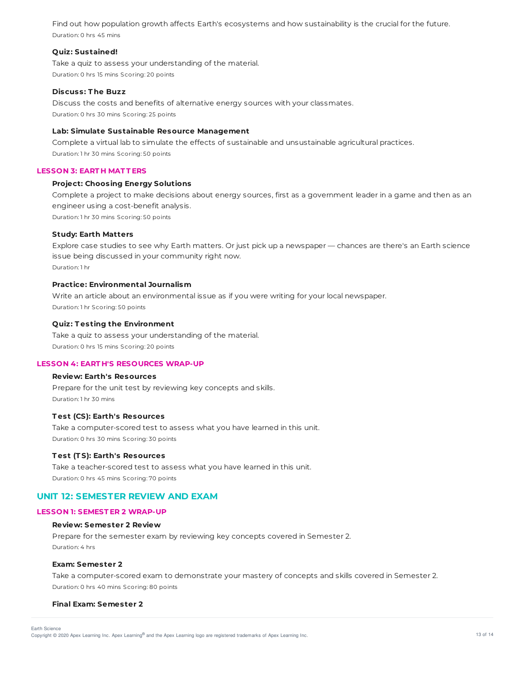Find out how population growth affects Earth's ecosystems and how sustainability is the crucial for the future. Duration: 0 hrs 45 mins

### **Quiz: Sustained!**

Take a quiz to assess your understanding of the material. Duration: 0 hrs 15 mins Scoring: 20 points

#### **Discuss: T he Buzz**

Discuss the costs and benefits of alternative energy sources with your classmates. Duration: 0 hrs 30 mins Scoring: 25 points

#### **Lab: Simulate Sustainable Resource Management**

Complete a virtual lab to simulate the effects of sustainable and unsustainable agricultural practices. Duration: 1 hr 30 mins Scoring: 50 points

## **LESSON 3: EART H MAT T ERS**

### **Project: Choosing Energy Solutions**

Complete a project to make decisions about energy sources, first as a government leader in a game and then as an engineer using a cost-benefit analysis. Duration: 1 hr 30 mins Scoring: 50 points

#### **Study: Earth Matters**

Explore case studies to see why Earth matters. Or just pick up a newspaper — chances are there's an Earth science issue being discussed in your community right now. Duration: 1 hr

#### **Practice: Environmental Journalism**

Write an article about an environmental issue as if you were writing for your local newspaper. Duration: 1 hr Scoring: 50 points

#### **Quiz: T esting the Environment**

Take a quiz to assess your understanding of the material. Duration: 0 hrs 15 mins Scoring: 20 points

#### **LESSON 4: EART H'S RESOURCES WRAP-UP**

## **Review: Earth's Resources**

Prepare for the unit test by reviewing key concepts and skills. Duration: 1 hr 30 mins

#### **T est (CS): Earth's Resources**

Take a computer-scored test to assess what you have learned in this unit. Duration: 0 hrs 30 mins Scoring: 30 points

#### **T est (T S): Earth's Resources**

Take a teacher-scored test to assess what you have learned in this unit. Duration: 0 hrs 45 mins Scoring: 70 points

# **UNIT 12: SEMESTER REVIEW AND EXAM**

#### **LESSON 1: SEMEST ER 2 WRAP-UP**

#### **Review: Semester 2 Review**

Prepare for the semester exam by reviewing key concepts covered in Semester 2. Duration: 4 hrs

## **Exam: Semester 2**

Take a computer-scored exam to demonstrate your mastery of concepts and skills covered in Semester 2. Duration: 0 hrs 40 mins Scoring: 80 points

#### **Final Exam: Semester 2**